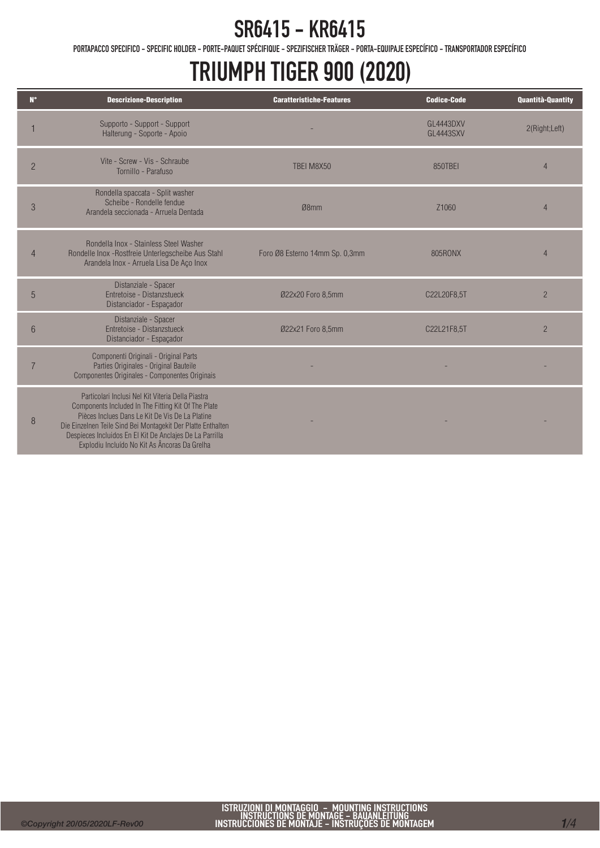## SR6415 - KR6415

PORTAPACCO SPECIFICO - SPECIFIC HOLDER - PORTE-PAQUET SPÉCIFIQUE - SPEZIFISCHER TRÄGER - PORTA-EQUIPAJE ESPECÍFICO - TRANSPORTADOR ESPECÍFICO

## TRIUMPH TIGER 900 (2020)

| $N^{\circ}$    | <b>Descrizione-Description</b>                                                                                                                                                                                                                                                                                                           | <b>Caratteristiche-Features</b> | <b>Codice-Code</b>            | <b>Quantità-Quantity</b> |
|----------------|------------------------------------------------------------------------------------------------------------------------------------------------------------------------------------------------------------------------------------------------------------------------------------------------------------------------------------------|---------------------------------|-------------------------------|--------------------------|
|                | Supporto - Support - Support<br>Halterung - Soporte - Apoio                                                                                                                                                                                                                                                                              |                                 | GL4443DXV<br><b>GL4443SXV</b> | 2(Right;Left)            |
| $\overline{2}$ | Vite - Screw - Vis - Schraube<br>Tornillo - Parafuso                                                                                                                                                                                                                                                                                     | TBEI M8X50                      | 850TBEI                       | 4                        |
| 3              | Rondella spaccata - Split washer<br>Scheibe - Rondelle fendue<br>Arandela seccionada - Arruela Dentada                                                                                                                                                                                                                                   | Ø8mm                            | Z <sub>1060</sub>             | 4                        |
| $\overline{4}$ | Rondella Inox - Stainless Steel Washer<br>Rondelle Inox -Rostfreie Unterlegscheibe Aus Stahl<br>Arandela Inox - Arruela Lisa De Aço Inox                                                                                                                                                                                                 | Foro Ø8 Esterno 14mm Sp. 0,3mm  | 805RONX                       | $\overline{4}$           |
| 5              | Distanziale - Spacer<br>Entretoise - Distanzstueck<br>Distanciador - Espaçador                                                                                                                                                                                                                                                           | Ø22x20 Foro 8,5mm               | C22L20F8,5T                   | $\overline{2}$           |
| 6              | Distanziale - Spacer<br>Entretoise - Distanzstueck<br>Distanciador - Espaçador                                                                                                                                                                                                                                                           | Ø22x21 Foro 8,5mm               | C22L21F8,5T                   | $\overline{2}$           |
|                | Componenti Originali - Original Parts<br>Parties Originales - Original Bauteile<br>Componentes Originales - Componentes Originais                                                                                                                                                                                                        |                                 |                               |                          |
| 8              | Particolari Inclusi Nel Kit Viteria Della Piastra<br>Components Included In The Fitting Kit Of The Plate<br>Pièces Inclues Dans Le Kit De Vis De La Platine<br>Die Einzelnen Teile Sind Bei Montagekit Der Platte Enthalten<br>Despieces Incluidos En El Kit De Anclajes De La Parrilla<br>Explodiu Incluído No Kit As Âncoras Da Grelha |                                 |                               |                          |

Ī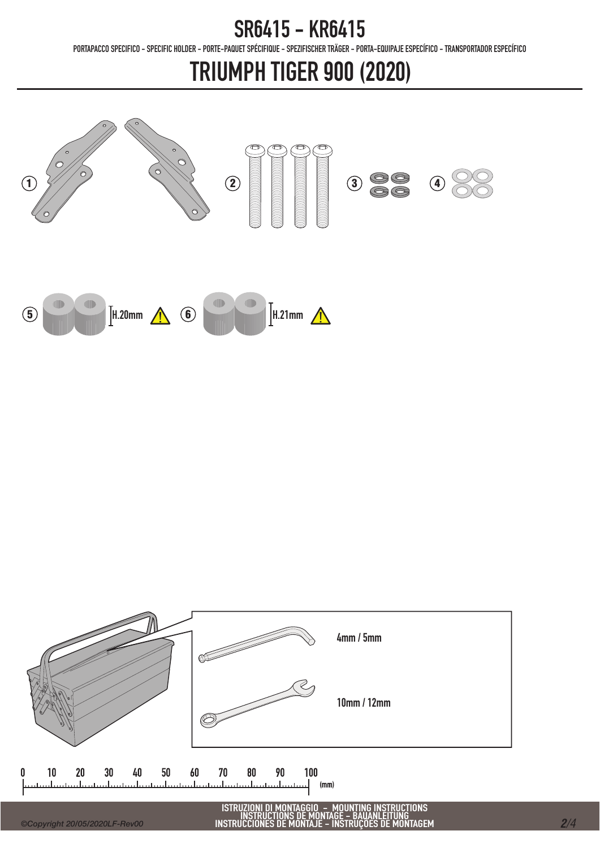### SR6415 - KR6415

PORTAPACCO SPECIFICO - SPECIFIC HOLDER - PORTE-PAQUET SPÉCIFIQUE - SPEZIFISCHER TRÄGER - PORTA-EQUIPAJE ESPECÍFICO - TRANSPORTADOR ESPECÍFICO

## TRIUMPH TIGER 900 (2020)



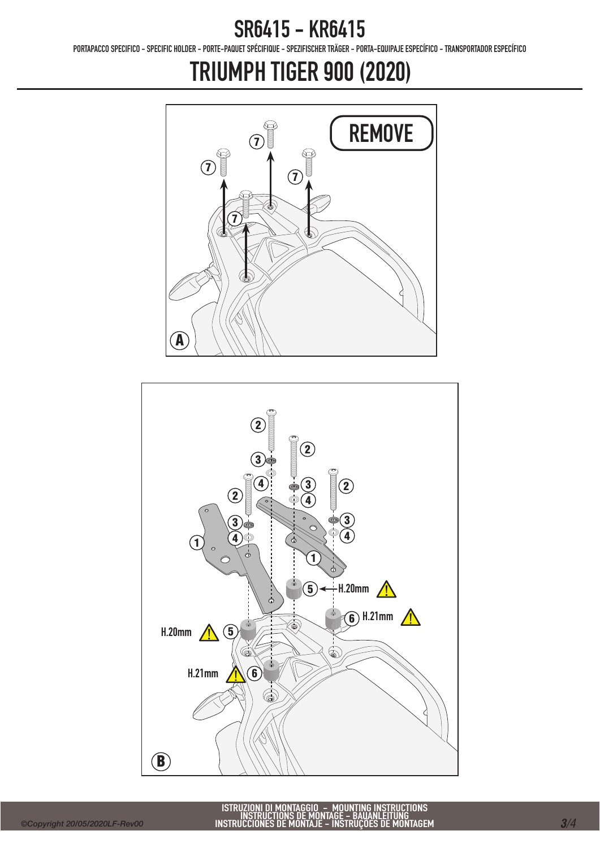#### SR6415 - KR6415

PORTAPACCO SPECIFICO - SPECIFIC HOLDER - PORTE-PAQUET SPÉCIFIQUE - SPEZIFISCHER TRÄGER - PORTA-EQUIPAJE ESPECÍFICO - TRANSPORTADOR ESPECÍFICO

# TRIUMPH TIGER 900 (2020)